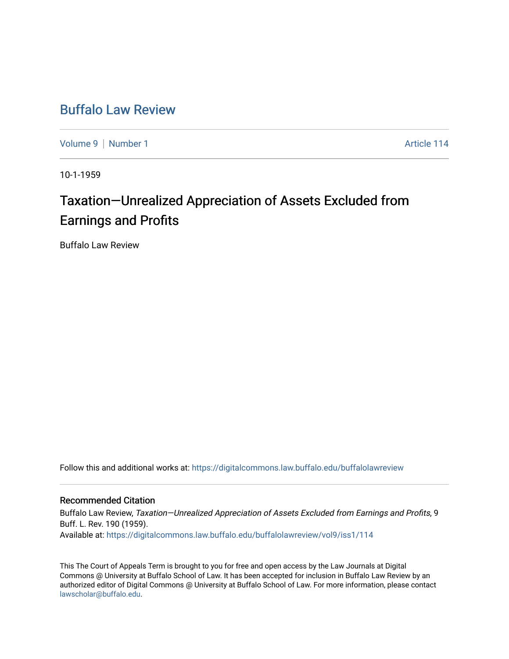## [Buffalo Law Review](https://digitalcommons.law.buffalo.edu/buffalolawreview)

[Volume 9](https://digitalcommons.law.buffalo.edu/buffalolawreview/vol9) | [Number 1](https://digitalcommons.law.buffalo.edu/buffalolawreview/vol9/iss1) Article 114

10-1-1959

# Taxation—Unrealized Appreciation of Assets Excluded from Earnings and Profits

Buffalo Law Review

Follow this and additional works at: [https://digitalcommons.law.buffalo.edu/buffalolawreview](https://digitalcommons.law.buffalo.edu/buffalolawreview?utm_source=digitalcommons.law.buffalo.edu%2Fbuffalolawreview%2Fvol9%2Fiss1%2F114&utm_medium=PDF&utm_campaign=PDFCoverPages) 

### Recommended Citation

Buffalo Law Review, Taxation—Unrealized Appreciation of Assets Excluded from Earnings and Profits, 9 Buff. L. Rev. 190 (1959). Available at: [https://digitalcommons.law.buffalo.edu/buffalolawreview/vol9/iss1/114](https://digitalcommons.law.buffalo.edu/buffalolawreview/vol9/iss1/114?utm_source=digitalcommons.law.buffalo.edu%2Fbuffalolawreview%2Fvol9%2Fiss1%2F114&utm_medium=PDF&utm_campaign=PDFCoverPages)

This The Court of Appeals Term is brought to you for free and open access by the Law Journals at Digital Commons @ University at Buffalo School of Law. It has been accepted for inclusion in Buffalo Law Review by an authorized editor of Digital Commons @ University at Buffalo School of Law. For more information, please contact [lawscholar@buffalo.edu](mailto:lawscholar@buffalo.edu).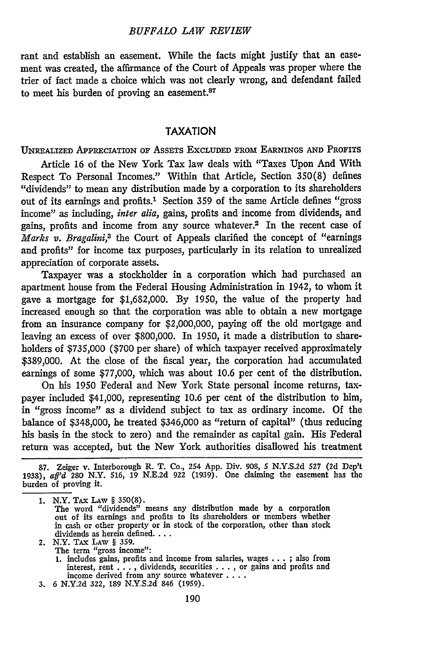#### *BUFFALO LAW REVIEW*

rant and establish an easement. While the facts might justify that an easement was created, the affirmance of the Court of Appeals was proper where the trier of fact made a choice which was not clearly wrong, and defendant failed to meet his burden of proving an easement.<sup>87</sup>

#### **TAXATION**

UNREALIZED APPRECIATION or ASSETS **EXCLUDED** FROm EARNINGS **AND** PROFITS

Article 16 of the New York Tax law deals with "Taxes Upon And With Respect To Personal Incomes." Within that Article, Section 350(8) defines "dividends" to mean any distribution made by a corporation to its shareholders out of its earnings and profits.<sup>1</sup> Section 359 of the same Article defines "gross" income" as including, *inter alia*, gains, profits and income from dividends, and gains, profits and income from any source whatever.2 In the recent case of *Marks v. Bragalini,3* the Court of Appeals clarified the concept of "earnings and profits" for income tax purposes, particularly in its relation to unrealized appreciation of corporate assets.

Taxpayer was a stockholder in a corporation which had purchased an apartment house from the Federal Housing Administration in 1942, to whom it gave a mortgage for \$1,682,000. By 1950, the value of the property had increased enough so that the corporation was able to obtain a new mortgage from an insurance company for \$2,000,000, paying off the old mortgage and leaving an excess of over \$800,000. In 1950, it made a distribution to shareholders of \$735,000 (\$700 per share) of which taxpayer received approximately \$389,000. At the close of the fiscal year, the corporation had accumulated earnings of some \$77,000, which was about 10.6 per cent of the distribution.

On his 1950 Federal and New York State personal income returns, taxpayer included \$41,000, representing 10.6 per cent of the distribution to him, in "gross income" as a dividend subject to tax as ordinary income. Of the balance of \$348,000, he treated \$346,000 as "return of capital" (thus reducing his basis in the stock to zero) and the remainder as capital gain. His Federal return was accepted, but the New York authorities disallowed his treatment

- 2. N.Y. TAX LAW § 359.
	- The term "gross income":
- 1. includes gains, profits and income from salaries, wages . . . ; also from interest, rent . . . , dividends, securities . . . , or gains and profits and income derived from any source whatever . . . . . . . . . . . . .
- 

<sup>87.</sup> Zeiger v. Interborough R. T. Co., 254 App. Div. 908, **5 N.Y.S.2d** 527 (2d Dep't 1938), *aff'd* 280 N.Y. **516, 19 N.E.2d 922 (1939).** One claiming the easement has the burden of proving it.

<sup>1.</sup> N.Y. TAX LAw § 350(8).

The word "dividends" means any distribution made by a corporation out of its earnings and profits to its shareholders or members whether in cash or other property or in stock of the corporation, other than stock dividends as herein defined....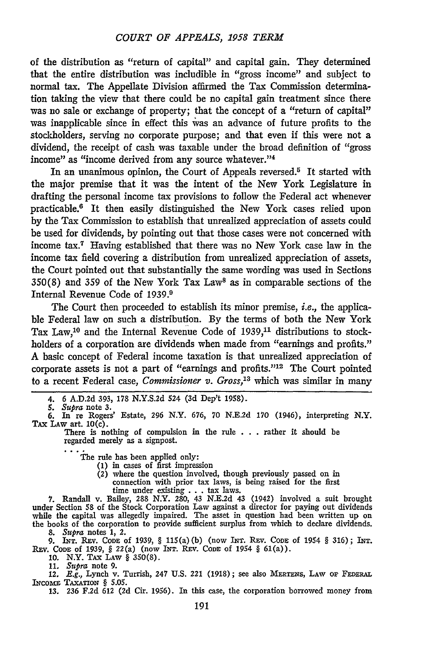of the distribution as "return of capital" and capital gain. They determined that the entire distribution was includible in "gross income" and subject to normal tax. The Appellate Division affirmed the Tax Commission determination taking the view that there could be no capital gain treatment since there was no sale or exchange of property; that the concept of a "return of capital" was inapplicable since in effect this vas an advance of future profits to the stockholders, serving no corporate purpose; and that even if this were not a dividend, the receipt of cash was taxable under the broad definition of "gross income" as "income derived from any source whatever."<sup>4</sup>

In an unanimous opinion, the Court of Appeals reversed.<sup>5</sup> It started with the major premise that it was the intent of the New York Legislature in drafting the personal income tax provisions to follow the Federal act whenever practicable.8 It then easily distinguished the New York cases relied upon by the Tax Commission to establish that unrealized appreciation of assets could be used for dividends, by pointing out that those cases were not concerned with income tax.7 Having established that there was no New York case law in the income tax field covering a distribution from unrealized appreciation of assets, the Court pointed out that substantially the same wording was used in Sections 350(8) and 359 of the New York Tax Laws as in comparable sections of the Internal Revenue Code of 1939. <sup>9</sup>

The Court then proceeded to establish its minor premise, *i.e.,* the applicable Federal law on such a distribution. **By** the terms of both the New York Tax Law,<sup>10</sup> and the Internal Revenue Code of 1939,<sup>11</sup> distributions to stockholders of a corporation are dividends when made from "earnings and profits." A basic concept of Federal income taxation is that unrealized appreciation of corporate assets is not a part of "earnings and profits."'12 The Court pointed to a recent Federal case, *Commissioner v. Gross,13* which was similar in many

The rule has been applied only:

- **(1)** in cases of first impression
	- (2) where the question involved, though previously passed on in connection with prior tax laws, is being raised for the first time under existing **. . .** tax laws.

**7.** Randall v. Bailey, 288 N.Y. **280,** 43 **N.E.2d** 43 (1942) involved a suit brought under Section **58** of the Stock Corporation Law against a director for paying out dividends while the capital was allegedly impaired. The asset in question **had** been written up on the books of the corporation to provide sufficient surplus from which to declare dividends.

8. *Supra* notes 1, 2.<br>
9. INT. Rev. Code of 1939, § 115(a)(b) (now INT. Rev. Code of 1954 § 316); INT.<br>
Rev. Code of 1939, § 22(a) (now INT. Rev. Code of 1954 § 61(a)).

10. N.Y. TAX LAW § 350(8). 11. *Supra* note 9.

12. E.g., Lynch v. Turrish, 247 U.S. 221 (1918); see also MERTENS, LAW or FEDERAL INCOME TAXATION § 5.05.

**13. 236 F.2d 612 (2d** Cir. **1956).** In this case, the corporation borrowed money from

<sup>4. 6</sup> A.D.2d 393, 178 N.Y.S.2d 524 (3d Dep't 1958).

*<sup>5.</sup> Supra* note **3. 6.** In re Rogers' Estate, **296** N.Y. **676, 70 N.E.2d 170** (1946), interpreting N.Y. **TAx** LAw art. 10(c).

There is nothing of compulsion in the rule **. . .** rather it should be regarded merely as a signpost.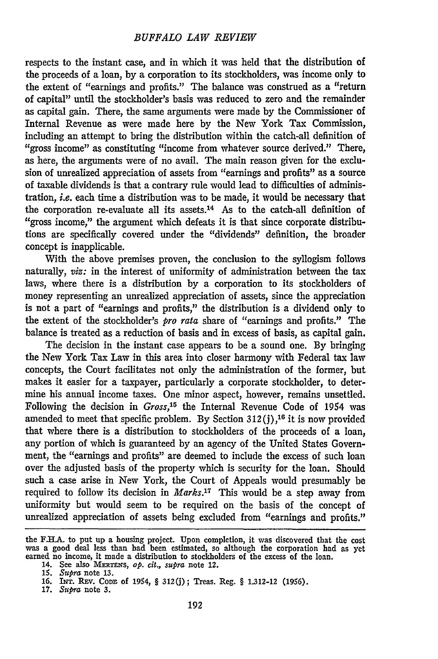respects to the instant case, and in which it was held that the distribution of the proceeds of a loan, **by** a corporation to its stockholders, was income only to the extent of "earnings and profits." The balance was construed as a "return of capital" until the stockholder's basis was reduced to zero and the remainder as capital gain. There, the same arguments were made by the Commissioner of Internal Revenue as were made here by the New York Tax Commission, including an attempt to bring the distribution within the catch-all definition of "gross income" as constituting "income from whatever source derived." There, as here, the arguments were of no avail. The main reason given for the exclusion of unrealized appreciation of assets from "earnings and profits" as a source of taxable dividends is that a contrary rule would lead to difficulties of administration, *i.e.* each time a distribution was to be made, it would be necessary that the corporation re-evaluate all its assets.<sup>14</sup> As to the catch-all definition of "gross income," the argument which defeats it is that since corporate distributions are specifically covered under the "dividends" definition, the broader concept is inapplicable.

With the above premises proven, the conclusion to the syllogism follows naturally, *viz:* in the interest of uniformity of administration between the tax laws, where there is a distribution by a corporation to its stockholders of money representing an unrealized appreciation of assets, since the appreciation is not a part of "earnings and profits," the distribution is a dividend only to the extent of the stockholder's *pro rata* share of "earnings and profits." The balance is treated as a reduction of basis and in excess of basis, as capital gain.

The decision in the instant case appears to be a sound one. By bringing the New York Tax Law in this area into closer harmony with Federal tax law concepts, the Court facilitates not only the administration of the former, but makes it easier for a taxpayer, particularly a corporate stockholder, to determine his annual income taxes. One minor aspect, however, remains unsettled. Following the decision in *Gross,'5* the Internal Revenue Code of 1954 was amended to meet that specific problem. By Section 312 **(j),16** it is now provided that where there is a distribution to stockholders of the proceeds of a loan, any portion of which is guaranteed by an agency of the United States Government, the "earnings and profits" are deemed to include the excess of such loan over the adjusted basis of the property which is security for the loan. Should such a case arise in New York, the Court of Appeals would presumably be required to follow its decision in *Marks.17* This would be a step away from uniformity but would seem to be required on the basis of the concept of unrealized appreciation of assets being excluded from "earnings and profits."

the F.HA. to put up a housing project. Upon completion, it was discovered that the cost was a good deal less than had been estimated, so although the corporation had as yet earned no income, it made a distribution to stockholders of the excess of the loan.

<sup>14.</sup> See also MERTENS, op. cit., supra note 12.

**<sup>15.</sup>** *Supra* note **13.**

<sup>16.</sup> INT. REv. CoDz of 1954, *§* 312(j); Treas. Reg. § 1.312-12 (1956).

<sup>17.</sup> *Supra* note 3.